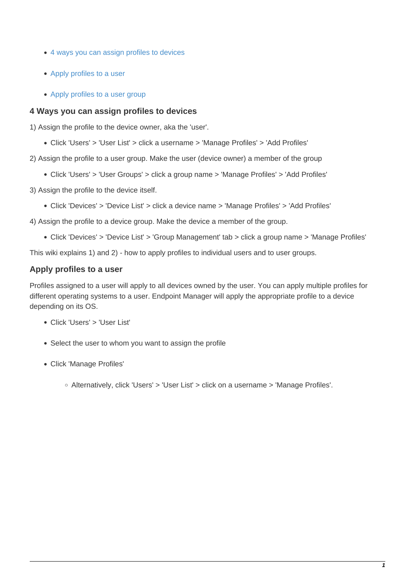- [4 ways you can assign profiles to devices](#page-0-0)
- [Apply profiles to a user](#page-0-1)
- [Apply profiles to a user group](#page-3-0)

#### <span id="page-0-0"></span>**4 Ways you can assign profiles to devices**

1) Assign the profile to the device owner, aka the 'user'.

- Click 'Users' > 'User List' > click a username > 'Manage Profiles' > 'Add Profiles'
- 2) Assign the profile to a user group. Make the user (device owner) a member of the group
	- Click 'Users' > 'User Groups' > click a group name > 'Manage Profiles' > 'Add Profiles'
- 3) Assign the profile to the device itself.
	- Click 'Devices' > 'Device List' > click a device name > 'Manage Profiles' > 'Add Profiles'
- 4) Assign the profile to a device group. Make the device a member of the group.
	- Click 'Devices' > 'Device List' > 'Group Management' tab > click a group name > 'Manage Profiles'

This wiki explains 1) and 2) - how to apply profiles to individual users and to user groups.

### <span id="page-0-1"></span>**Apply profiles to a user**

Profiles assigned to a user will apply to all devices owned by the user. You can apply multiple profiles for different operating systems to a user. Endpoint Manager will apply the appropriate profile to a device depending on its OS.

- Click 'Users' > 'User List'
- Select the user to whom you want to assign the profile
- Click 'Manage Profiles'
	- Alternatively, click 'Users' > 'User List' > click on a username > 'Manage Profiles'.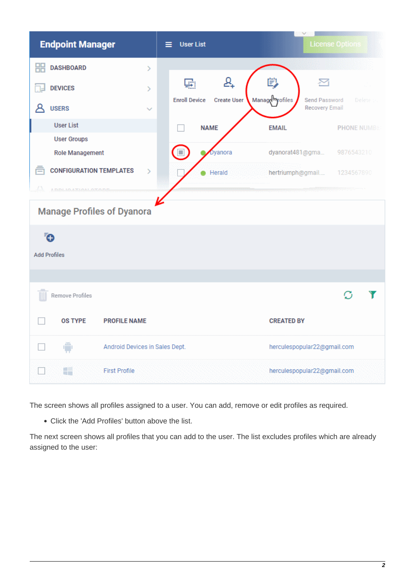| <b>Endpoint Manager</b>                              | <b>User List</b><br>≡                                 |                                                        | <b>License Options</b> |
|------------------------------------------------------|-------------------------------------------------------|--------------------------------------------------------|------------------------|
| 嘂<br><b>DASHBOARD</b><br>Ŷ,                          |                                                       |                                                        |                        |
| <b>DEVICES</b><br>Y.                                 | ₽+<br>嚸<br><b>Enroll Device</b><br><b>Create User</b> | Ü<br>⊠<br>Manage <sup>n</sup> yofiles<br>Send Password | Delete -               |
| Α<br><b>USERS</b>                                    |                                                       | <b>Recovery Email</b>                                  |                        |
| <b>User List</b>                                     | <b>NAME</b>                                           | <b>EMAIL</b>                                           | <b>PHONE NUMBE</b>     |
| <b>User Groups</b>                                   |                                                       |                                                        |                        |
| <b>Role Management</b>                               | Dyanora                                               | dyanorat481@gma                                        | 9876543210             |
| ē<br><b>CONFIGURATION TEMPLATES</b><br>$\mathcal{P}$ | Herald                                                | hertriumph@gmail                                       | 1234567890             |
| Lλ.<br>A DIDLIGLATION LOTODI                         |                                                       |                                                        |                        |
| <b>Manage Profiles of Dyanora</b>                    |                                                       |                                                        |                        |
| Ō                                                    |                                                       |                                                        |                        |
| <b>Add Profiles</b>                                  |                                                       |                                                        |                        |
|                                                      |                                                       |                                                        |                        |
| Remove Profiles                                      |                                                       |                                                        |                        |
| <b>OS TYPE</b><br><b>PROFILE NAME</b>                |                                                       | <b>CREATED BY</b>                                      |                        |
| Ã<br>Android Devices in Sales Dept.                  |                                                       | herculespopular22@gmail.com                            |                        |
| ÷<br><b>First Profile</b>                            |                                                       | herculespopular22@gmail.com                            |                        |

The screen shows all profiles assigned to a user. You can add, remove or edit profiles as required.

Click the 'Add Profiles' button above the list.

The next screen shows all profiles that you can add to the user. The list excludes profiles which are already assigned to the user: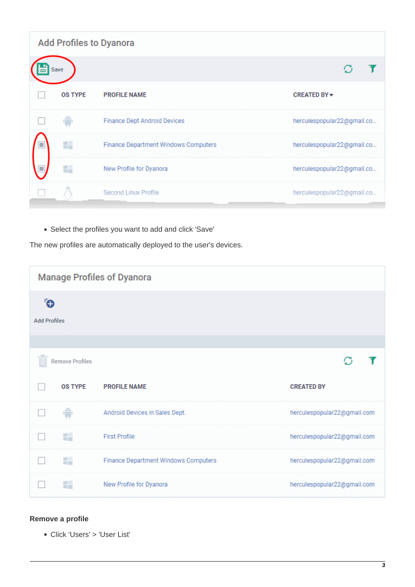|                | <b>Add Profiles to Dyanora</b>       |                            |
|----------------|--------------------------------------|----------------------------|
| Save           |                                      |                            |
| <b>OS TYPE</b> | <b>PROFILE NAME</b>                  | <b>CREATED BY ▼</b>        |
|                | Finance Dept Android Devices         | herculespopular22@gmail.co |
| Ŧ              | Finance Department Windows Computers | herculespopular22@gmail.co |
| ÷              | New Profile for Dyanora              | herculespopular22@gmail.co |
|                | Second Linux Profile                 | herculespopular22@gmail.co |

Select the profiles you want to add and click 'Save'

The new profiles are automatically deployed to the user's devices.

|                          |                  | <b>Manage Profiles of Dyanora</b>    |                             |
|--------------------------|------------------|--------------------------------------|-----------------------------|
| Ō<br><b>Add Profiles</b> |                  |                                      |                             |
|                          |                  |                                      |                             |
|                          | Remove Profiles  |                                      |                             |
|                          | <b>OS TYPE</b>   | <b>PROFILE NAME</b>                  | <b>CREATED BY</b>           |
|                          | ê                | Android Devices in Sales Dept.       | herculespopular22@gmail.com |
|                          | 轠                | <b>First Profile</b>                 | herculespopular22@gmail.com |
|                          | a si             | Finance Department Windows Computers | herculespopular22@gmail.com |
|                          | $\sim$<br>sil is | New Profile for Dyanora              | herculespopular22@gmail.com |

# **Remove a profile**

Click 'Users' > 'User List'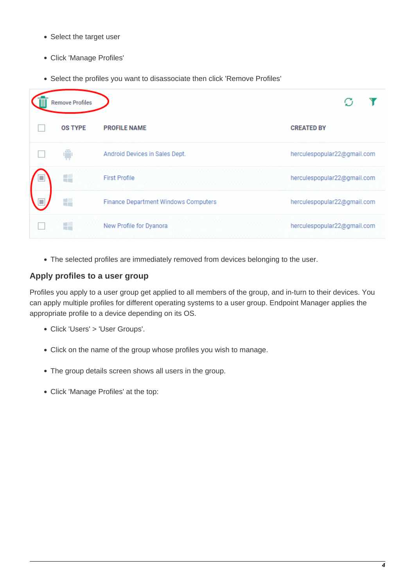- Select the target user
- Click 'Manage Profiles'
- Select the profiles you want to disassociate then click 'Remove Profiles'



The selected profiles are immediately removed from devices belonging to the user.

## <span id="page-3-0"></span>**Apply profiles to a user group**

Profiles you apply to a user group get applied to all members of the group, and in-turn to their devices. You can apply multiple profiles for different operating systems to a user group. Endpoint Manager applies the appropriate profile to a device depending on its OS.

- Click 'Users' > 'User Groups'.
- Click on the name of the group whose profiles you wish to manage.
- The group details screen shows all users in the group.
- Click 'Manage Profiles' at the top: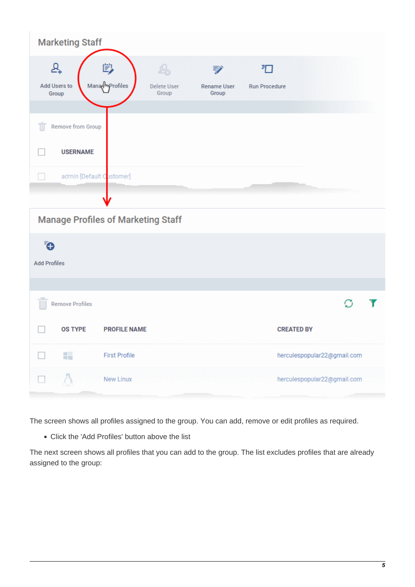| <b>Marketing Staff</b>                      |                                                             |                           |                    |                             |  |
|---------------------------------------------|-------------------------------------------------------------|---------------------------|--------------------|-----------------------------|--|
| ₽+<br>Add Users to<br>Group                 | 剀<br>$P_{\Omega}$<br>Managmprofiles<br>Delete User<br>Group | ₹<br>Rename User<br>Group | 汩<br>Run Procedure |                             |  |
| Remove from Group<br>HII<br><b>USERNAME</b> |                                                             |                           |                    |                             |  |
| admin [Default Customer]                    |                                                             |                           |                    |                             |  |
|                                             | <b>Manage Profiles of Marketing Staff</b>                   |                           |                    |                             |  |
| Ō<br><b>Add Profiles</b>                    |                                                             |                           |                    |                             |  |
| Remove Profiles                             |                                                             |                           |                    |                             |  |
| <b>OS TYPE</b>                              | <b>PROFILE NAME</b>                                         |                           |                    | <b>CREATED BY</b>           |  |
| ■<br>周囲                                     | <b>First Profile</b>                                        |                           |                    | herculespopular22@gmail.com |  |
|                                             | New Linux                                                   |                           |                    | herculespopular22@gmail.com |  |

The screen shows all profiles assigned to the group. You can add, remove or edit profiles as required.

Click the 'Add Profiles' button above the list

The next screen shows all profiles that you can add to the group. The list excludes profiles that are already assigned to the group: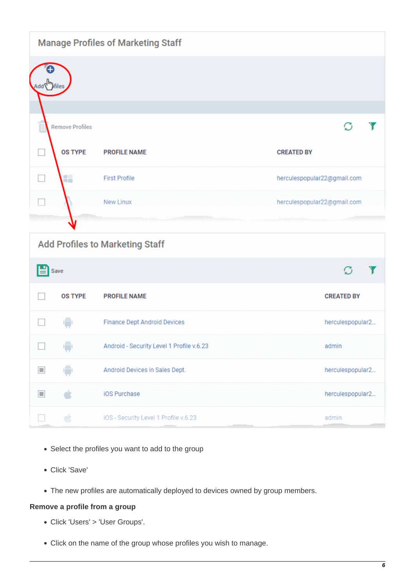|                   |                 | <b>Manage Profiles of Marketing Staff</b> |                             |
|-------------------|-----------------|-------------------------------------------|-----------------------------|
| Add \""}files     |                 |                                           |                             |
|                   |                 |                                           |                             |
|                   | Remove Profiles |                                           |                             |
|                   | <b>OS TYPE</b>  | <b>PROFILE NAME</b>                       | <b>CREATED BY</b>           |
| $\Box$            | a.              | <b>First Profile</b>                      | herculespopular22@gmail.com |
|                   |                 | <b>New Linux</b>                          | herculespopular22@gmail.com |
|                   |                 |                                           |                             |
|                   |                 | <b>Add Profiles to Marketing Staff</b>    |                             |
| $\mathbf{E}$ Save |                 |                                           |                             |
|                   | <b>OS TYPE</b>  | <b>PROFILE NAME</b>                       | <b>CREATED BY</b>           |
|                   | A               | Finance Dept Android Devices              | herculespopular2            |
|                   | ê               | Android - Security Level 1 Profile v.6.23 | admin                       |
| $\Box$            |                 | Android Devices in Sales Dept.            | herculespopular2            |
| $\Box$            |                 | iOS Purchase                              | herculespopular2            |
|                   | ė               | iOS - Security Level 1 Profile v.6.23     | admin                       |

- Select the profiles you want to add to the group
- Click 'Save'
- The new profiles are automatically deployed to devices owned by group members.

### **Remove a profile from a group**

- Click 'Users' > 'User Groups'.
- Click on the name of the group whose profiles you wish to manage.